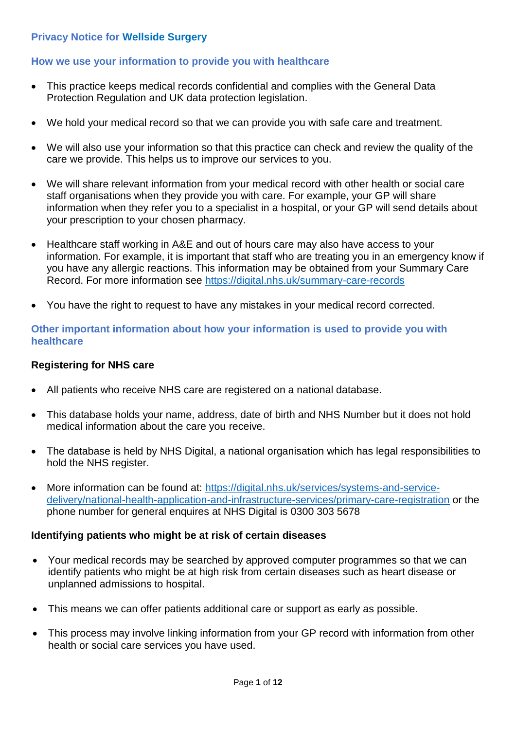### **Privacy Notice for Wellside Surgery**

### **How we use your information to provide you with healthcare**

- This practice keeps medical records confidential and complies with the General Data Protection Regulation and UK data protection legislation.
- We hold your medical record so that we can provide you with safe care and treatment.
- We will also use your information so that this practice can check and review the quality of the care we provide. This helps us to improve our services to you.
- We will share relevant information from your medical record with other health or social care staff organisations when they provide you with care. For example, your GP will share information when they refer you to a specialist in a hospital, or your GP will send details about your prescription to your chosen pharmacy.
- Healthcare staff working in A&E and out of hours care may also have access to your information. For example, it is important that staff who are treating you in an emergency know if you have any allergic reactions. This information may be obtained from your Summary Care Record. For more information see <https://digital.nhs.uk/summary-care-records>
- You have the right to request to have any mistakes in your medical record corrected.

#### **Other important information about how your information is used to provide you with healthcare**

#### **Registering for NHS care**

- All patients who receive NHS care are registered on a national database.
- This database holds your name, address, date of birth and NHS Number but it does not hold medical information about the care you receive.
- The database is held by NHS Digital, a national organisation which has legal responsibilities to hold the NHS register.
- More information can be found at: [https://digital.nhs.uk/services/systems-and-service](https://digital.nhs.uk/services/systems-and-service-delivery/national-health-application-and-infrastructure-services/primary-care-registration)[delivery/national-health-application-and-infrastructure-services/primary-care-registration](https://digital.nhs.uk/services/systems-and-service-delivery/national-health-application-and-infrastructure-services/primary-care-registration) or the phone number for general enquires at NHS Digital is 0300 303 5678

#### **Identifying patients who might be at risk of certain diseases**

- Your medical records may be searched by approved computer programmes so that we can identify patients who might be at high risk from certain diseases such as heart disease or unplanned admissions to hospital.
- This means we can offer patients additional care or support as early as possible.
- This process may involve linking information from your GP record with information from other health or social care services you have used.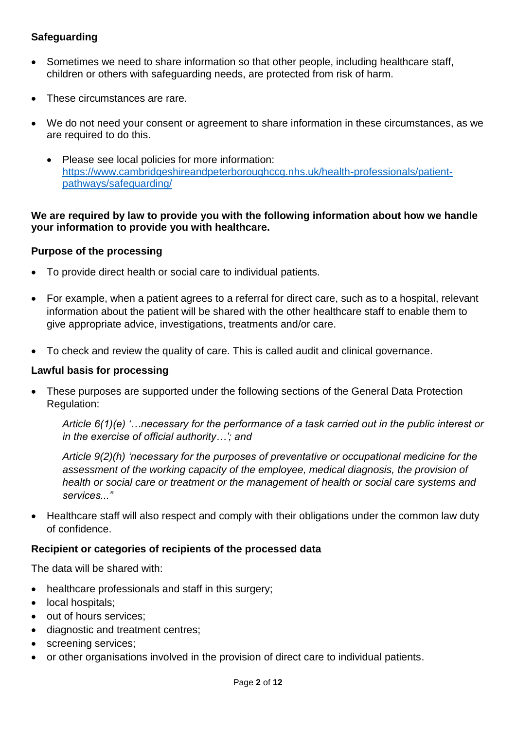## **Safeguarding**

- Sometimes we need to share information so that other people, including healthcare staff, children or others with safeguarding needs, are protected from risk of harm.
- These circumstances are rare.
- We do not need your consent or agreement to share information in these circumstances, as we are required to do this.
	- Please see local policies for more information: [https://www.cambridgeshireandpeterboroughccg.nhs.uk/health-professionals/patient](https://www.cambridgeshireandpeterboroughccg.nhs.uk/health-professionals/patient-pathways/safeguarding/)[pathways/safeguarding/](https://www.cambridgeshireandpeterboroughccg.nhs.uk/health-professionals/patient-pathways/safeguarding/)

### **We are required by law to provide you with the following information about how we handle your information to provide you with healthcare.**

#### **Purpose of the processing**

- To provide direct health or social care to individual patients.
- For example, when a patient agrees to a referral for direct care, such as to a hospital, relevant information about the patient will be shared with the other healthcare staff to enable them to give appropriate advice, investigations, treatments and/or care.
- To check and review the quality of care. This is called audit and clinical governance.

#### **Lawful basis for processing**

 These purposes are supported under the following sections of the General Data Protection Regulation:

*Article 6(1)(e) '…necessary for the performance of a task carried out in the public interest or in the exercise of official authority…'; and* 

*Article 9(2)(h) 'necessary for the purposes of preventative or occupational medicine for the assessment of the working capacity of the employee, medical diagnosis, the provision of health or social care or treatment or the management of health or social care systems and services..."* 

 Healthcare staff will also respect and comply with their obligations under the common law duty of confidence.

#### **Recipient or categories of recipients of the processed data**

The data will be shared with:

- healthcare professionals and staff in this surgery;
- local hospitals;
- out of hours services;
- diagnostic and treatment centres;
- screening services;
- or other organisations involved in the provision of direct care to individual patients.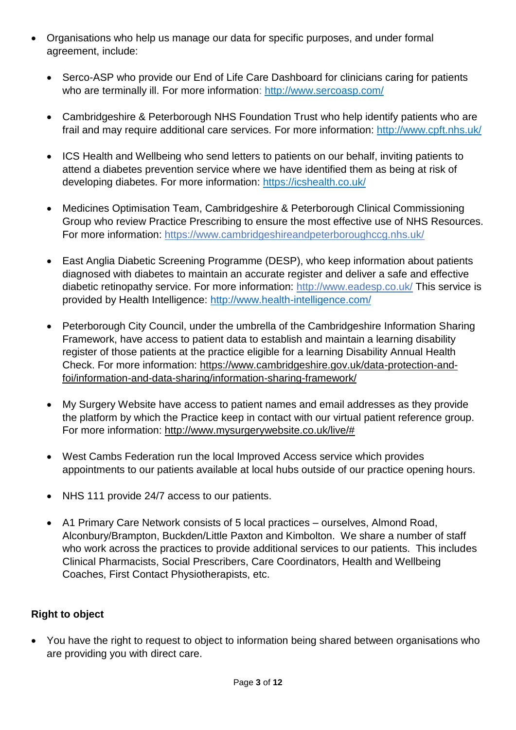- Organisations who help us manage our data for specific purposes, and under formal agreement, include:
	- Serco-ASP who provide our End of Life Care Dashboard for clinicians caring for patients who are terminally ill. For more information: <http://www.sercoasp.com/>
	- Cambridgeshire & Peterborough NHS Foundation Trust who help identify patients who are frail and may require additional care services. For more information:<http://www.cpft.nhs.uk/>
	- ICS Health and Wellbeing who send letters to patients on our behalf, inviting patients to attend a diabetes prevention service where we have identified them as being at risk of developing diabetes. For more information:<https://icshealth.co.uk/>
	- Medicines Optimisation Team, Cambridgeshire & Peterborough Clinical Commissioning Group who review Practice Prescribing to ensure the most effective use of NHS Resources. For more information:<https://www.cambridgeshireandpeterboroughccg.nhs.uk/>
	- East Anglia Diabetic Screening Programme (DESP), who keep information about patients diagnosed with diabetes to maintain an accurate register and deliver a safe and effective diabetic retinopathy service. For more information:<http://www.eadesp.co.uk/> This service is provided by Health Intelligence:<http://www.health-intelligence.com/>
	- Peterborough City Council, under the umbrella of the Cambridgeshire Information Sharing Framework, have access to patient data to establish and maintain a learning disability register of those patients at the practice eligible for a learning Disability Annual Health Check. For more information: [https://www.cambridgeshire.gov.uk/data-protection-and](https://www.cambridgeshire.gov.uk/data-protection-and-foi/information-and-data-sharing/information-sharing-framework/)[foi/information-and-data-sharing/information-sharing-framework/](https://www.cambridgeshire.gov.uk/data-protection-and-foi/information-and-data-sharing/information-sharing-framework/)
	- My Surgery Website have access to patient names and email addresses as they provide the platform by which the Practice keep in contact with our virtual patient reference group. For more information: [http://www.mysurgerywebsite.co.uk/live/#](http://www.mysurgerywebsite.co.uk/live/)
	- West Cambs Federation run the local Improved Access service which provides appointments to our patients available at local hubs outside of our practice opening hours.
	- NHS 111 provide 24/7 access to our patients.
	- A1 Primary Care Network consists of 5 local practices ourselves, Almond Road, Alconbury/Brampton, Buckden/Little Paxton and Kimbolton. We share a number of staff who work across the practices to provide additional services to our patients. This includes Clinical Pharmacists, Social Prescribers, Care Coordinators, Health and Wellbeing Coaches, First Contact Physiotherapists, etc.

# **Right to object**

• You have the right to request to object to information being shared between organisations who are providing you with direct care.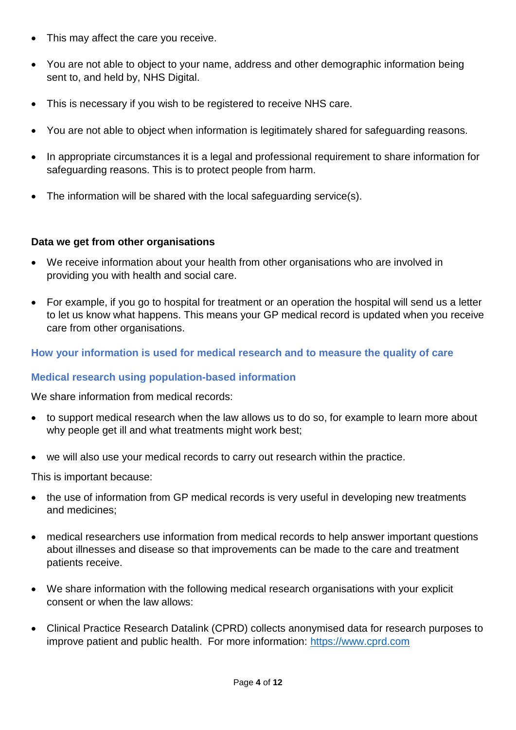- This may affect the care you receive.
- You are not able to object to your name, address and other demographic information being sent to, and held by, NHS Digital.
- This is necessary if you wish to be registered to receive NHS care.
- You are not able to object when information is legitimately shared for safeguarding reasons.
- In appropriate circumstances it is a legal and professional requirement to share information for safeguarding reasons. This is to protect people from harm.
- The information will be shared with the local safeguarding service(s).

### **Data we get from other organisations**

- We receive information about your health from other organisations who are involved in providing you with health and social care.
- For example, if you go to hospital for treatment or an operation the hospital will send us a letter to let us know what happens. This means your GP medical record is updated when you receive care from other organisations.

## **How your information is used for medical research and to measure the quality of care**

## **Medical research using population-based information**

We share information from medical records:

- to support medical research when the law allows us to do so, for example to learn more about why people get ill and what treatments might work best;
- we will also use your medical records to carry out research within the practice.

This is important because:

- the use of information from GP medical records is very useful in developing new treatments and medicines;
- medical researchers use information from medical records to help answer important questions about illnesses and disease so that improvements can be made to the care and treatment patients receive.
- We share information with the following medical research organisations with your explicit consent or when the law allows:
- Clinical Practice Research Datalink (CPRD) collects anonymised data for research purposes to improve patient and public health. For more information: [https://www.cprd.com](https://www.cprd.com/)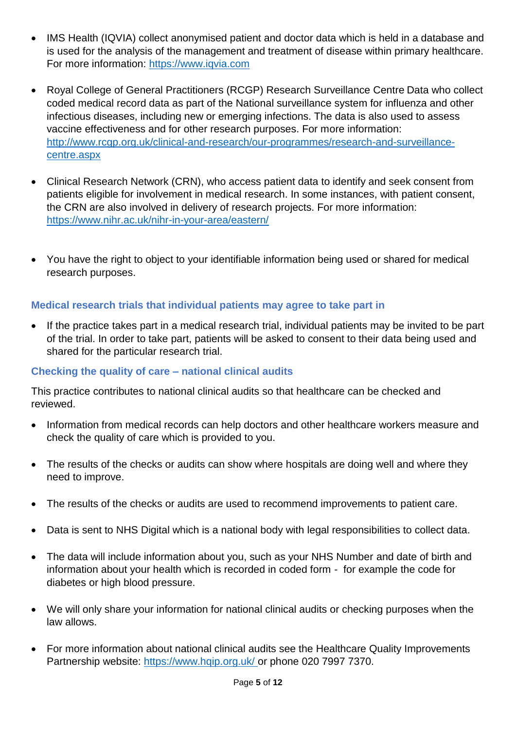- IMS Health (IQVIA) collect anonymised patient and doctor data which is held in a database and is used for the analysis of the management and treatment of disease within primary healthcare. For more information: [https://www.iqvia.com](https://www.iqvia.com/)
- Royal College of General Practitioners (RCGP) Research Surveillance Centre Data who collect coded medical record data as part of the National surveillance system for influenza and other infectious diseases, including new or emerging infections. The data is also used to assess vaccine effectiveness and for other research purposes. For more information: [http://www.rcgp.org.uk/clinical-and-research/our-programmes/research-and-surveillance](http://www.rcgp.org.uk/clinical-and-research/our-programmes/research-and-surveillance-centre.aspx)[centre.aspx](http://www.rcgp.org.uk/clinical-and-research/our-programmes/research-and-surveillance-centre.aspx)
- Clinical Research Network (CRN), who access patient data to identify and seek consent from patients eligible for involvement in medical research. In some instances, with patient consent, the CRN are also involved in delivery of research projects. For more information: <https://www.nihr.ac.uk/nihr-in-your-area/eastern/>
- You have the right to object to your identifiable information being used or shared for medical research purposes.

## **Medical research trials that individual patients may agree to take part in**

 If the practice takes part in a medical research trial, individual patients may be invited to be part of the trial. In order to take part, patients will be asked to consent to their data being used and shared for the particular research trial.

## **Checking the quality of care – national clinical audits**

This practice contributes to national clinical audits so that healthcare can be checked and reviewed.

- Information from medical records can help doctors and other healthcare workers measure and check the quality of care which is provided to you.
- The results of the checks or audits can show where hospitals are doing well and where they need to improve.
- The results of the checks or audits are used to recommend improvements to patient care.
- Data is sent to NHS Digital which is a national body with legal responsibilities to collect data.
- The data will include information about you, such as your NHS Number and date of birth and information about your health which is recorded in coded form - for example the code for diabetes or high blood pressure.
- We will only share your information for national clinical audits or checking purposes when the law allows.
- For more information about national clinical audits see the Healthcare Quality Improvements Partnership website:<https://www.hqip.org.uk/> or phone 020 7997 7370.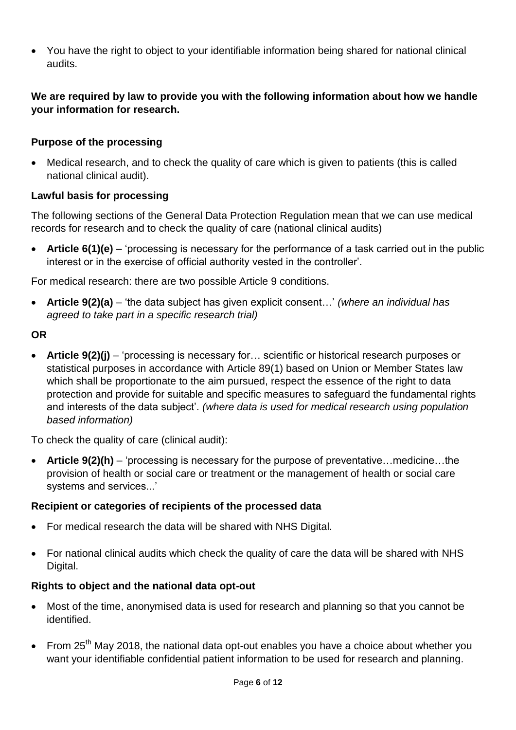You have the right to object to your identifiable information being shared for national clinical audits.

## **We are required by law to provide you with the following information about how we handle your information for research.**

## **Purpose of the processing**

• Medical research, and to check the quality of care which is given to patients (this is called national clinical audit).

## **Lawful basis for processing**

The following sections of the General Data Protection Regulation mean that we can use medical records for research and to check the quality of care (national clinical audits)

 **Article 6(1)(e)** – 'processing is necessary for the performance of a task carried out in the public interest or in the exercise of official authority vested in the controller'.

For medical research: there are two possible Article 9 conditions.

 **Article 9(2)(a)** – 'the data subject has given explicit consent…' *(where an individual has agreed to take part in a specific research trial)*

## **OR**

 **Article 9(2)(j)** – 'processing is necessary for… scientific or historical research purposes or statistical purposes in accordance with Article 89(1) based on Union or Member States law which shall be proportionate to the aim pursued, respect the essence of the right to data protection and provide for suitable and specific measures to safeguard the fundamental rights and interests of the data subject'. *(where data is used for medical research using population based information)*

To check the quality of care (clinical audit):

 **Article 9(2)(h)** – 'processing is necessary for the purpose of preventative…medicine…the provision of health or social care or treatment or the management of health or social care systems and services...'

# **Recipient or categories of recipients of the processed data**

- For medical research the data will be shared with NHS Digital.
- For national clinical audits which check the quality of care the data will be shared with NHS Digital.

# **Rights to object and the national data opt-out**

- Most of the time, anonymised data is used for research and planning so that you cannot be identified.
- From 25<sup>th</sup> May 2018, the national data opt-out enables you have a choice about whether you want your identifiable confidential patient information to be used for research and planning.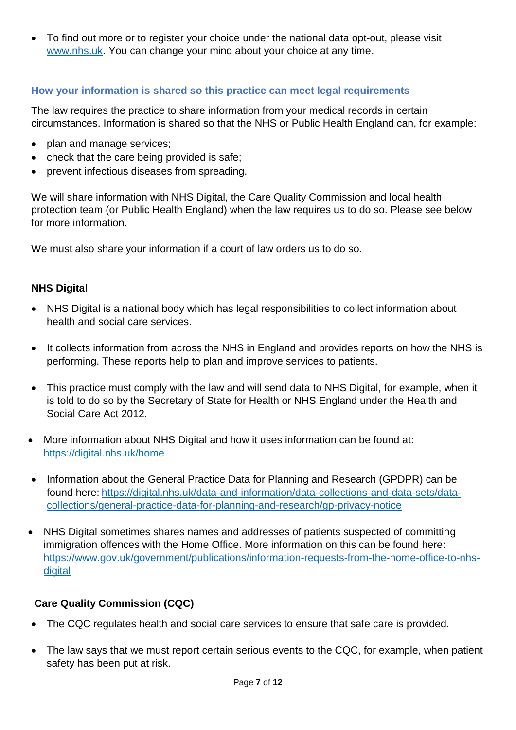To find out more or to register your choice under the national data opt-out, please visit [www.nhs.uk.](http://www.nhs.uk/) You can change your mind about your choice at any time.

## **How your information is shared so this practice can meet legal requirements**

The law requires the practice to share information from your medical records in certain circumstances. Information is shared so that the NHS or Public Health England can, for example:

- plan and manage services;
- check that the care being provided is safe;
- prevent infectious diseases from spreading.

We will share information with NHS Digital, the Care Quality Commission and local health protection team (or Public Health England) when the law requires us to do so. Please see below for more information.

We must also share your information if a court of law orders us to do so.

### **NHS Digital**

- NHS Digital is a national body which has legal responsibilities to collect information about health and social care services.
- It collects information from across the NHS in England and provides reports on how the NHS is performing. These reports help to plan and improve services to patients.
- This practice must comply with the law and will send data to NHS Digital, for example, when it is told to do so by the Secretary of State for Health or NHS England under the Health and Social Care Act 2012.
- More information about NHS Digital and how it uses information can be found at: <https://digital.nhs.uk/home>
- Information about the General Practice Data for Planning and Research (GPDPR) can be found here: [https://digital.nhs.uk/data-and-information/data-collections-and-data-sets/data](https://digital.nhs.uk/data-and-information/data-collections-and-data-sets/data-collections/general-practice-data-for-planning-and-research/gp-privacy-notice)[collections/general-practice-data-for-planning-and-research/gp-privacy-notice](https://digital.nhs.uk/data-and-information/data-collections-and-data-sets/data-collections/general-practice-data-for-planning-and-research/gp-privacy-notice)
- NHS Digital sometimes shares names and addresses of patients suspected of committing immigration offences with the Home Office. More information on this can be found here: [https://www.gov.uk/government/publications/information-requests-from-the-home-office-to-nhs](https://www.gov.uk/government/publications/information-requests-from-the-home-office-to-nhs-digital)[digital](https://www.gov.uk/government/publications/information-requests-from-the-home-office-to-nhs-digital)

## **Care Quality Commission (CQC)**

- The CQC regulates health and social care services to ensure that safe care is provided.
- The law says that we must report certain serious events to the CQC, for example, when patient safety has been put at risk.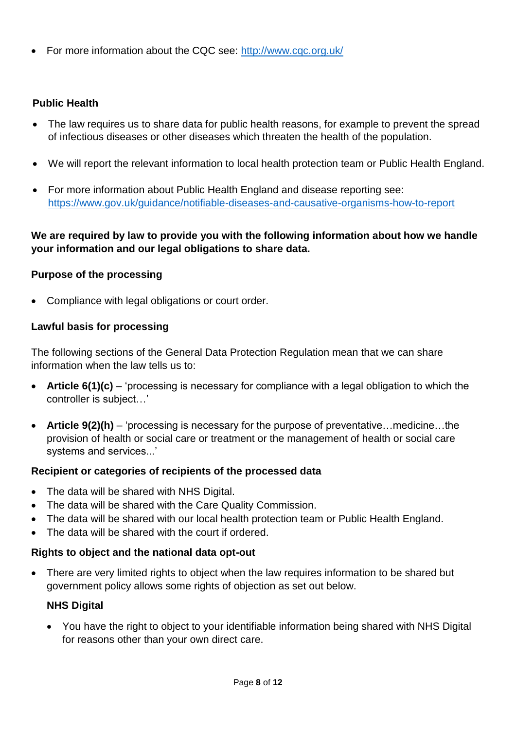For more information about the CQC see:<http://www.cqc.org.uk/>

# **Public Health**

- The law requires us to share data for public health reasons, for example to prevent the spread of infectious diseases or other diseases which threaten the health of the population.
- We will report the relevant information to local health protection team or Public Health England.
- For more information about Public Health England and disease reporting see: <https://www.gov.uk/guidance/notifiable-diseases-and-causative-organisms-how-to-report>

## **We are required by law to provide you with the following information about how we handle your information and our legal obligations to share data.**

# **Purpose of the processing**

• Compliance with legal obligations or court order.

# **Lawful basis for processing**

The following sections of the General Data Protection Regulation mean that we can share information when the law tells us to:

- **Article 6(1)(c)** 'processing is necessary for compliance with a legal obligation to which the controller is subject…'
- **Article 9(2)(h)** 'processing is necessary for the purpose of preventative…medicine…the provision of health or social care or treatment or the management of health or social care systems and services...'

# **Recipient or categories of recipients of the processed data**

- The data will be shared with NHS Digital.
- The data will be shared with the Care Quality Commission.
- The data will be shared with our local health protection team or Public Health England.
- The data will be shared with the court if ordered.

# **Rights to object and the national data opt-out**

 There are very limited rights to object when the law requires information to be shared but government policy allows some rights of objection as set out below.

# **NHS Digital**

 You have the right to object to your identifiable information being shared with NHS Digital for reasons other than your own direct care.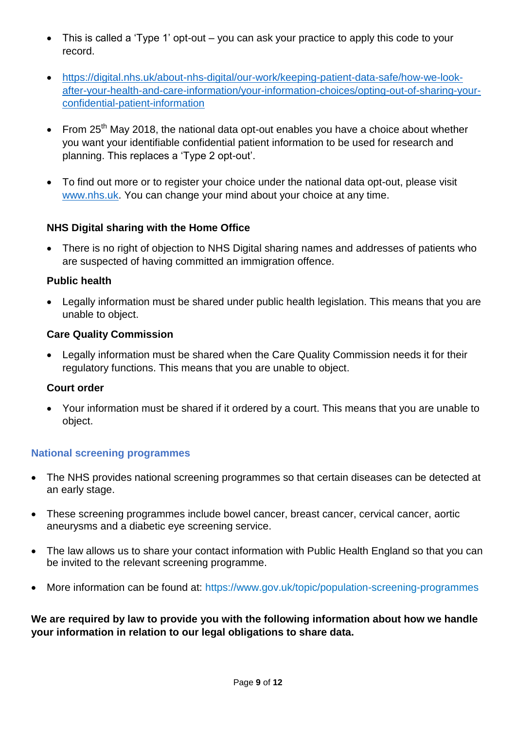- This is called a 'Type 1' opt-out you can ask your practice to apply this code to your record.
- [https://digital.nhs.uk/about-nhs-digital/our-work/keeping-patient-data-safe/how-we-look](https://digital.nhs.uk/about-nhs-digital/our-work/keeping-patient-data-safe/how-we-look-after-your-health-and-care-information/your-information-choices/opting-out-of-sharing-your-confidential-patient-information)[after-your-health-and-care-information/your-information-choices/opting-out-of-sharing-your](https://digital.nhs.uk/about-nhs-digital/our-work/keeping-patient-data-safe/how-we-look-after-your-health-and-care-information/your-information-choices/opting-out-of-sharing-your-confidential-patient-information)[confidential-patient-information](https://digital.nhs.uk/about-nhs-digital/our-work/keeping-patient-data-safe/how-we-look-after-your-health-and-care-information/your-information-choices/opting-out-of-sharing-your-confidential-patient-information)
- From 25<sup>th</sup> May 2018, the national data opt-out enables you have a choice about whether you want your identifiable confidential patient information to be used for research and planning. This replaces a 'Type 2 opt-out'.
- To find out more or to register your choice under the national data opt-out, please visit [www.nhs.uk.](http://www.nhs.uk/) You can change your mind about your choice at any time.

## **NHS Digital sharing with the Home Office**

 There is no right of objection to NHS Digital sharing names and addresses of patients who are suspected of having committed an immigration offence.

### **Public health**

 Legally information must be shared under public health legislation. This means that you are unable to object.

### **Care Quality Commission**

 Legally information must be shared when the Care Quality Commission needs it for their regulatory functions. This means that you are unable to object.

#### **Court order**

 Your information must be shared if it ordered by a court. This means that you are unable to object.

## **National screening programmes**

- The NHS provides national screening programmes so that certain diseases can be detected at an early stage.
- These screening programmes include bowel cancer, breast cancer, cervical cancer, aortic aneurysms and a diabetic eye screening service.
- The law allows us to share your contact information with Public Health England so that you can be invited to the relevant screening programme.
- More information can be found at:<https://www.gov.uk/topic/population-screening-programmes>

**We are required by law to provide you with the following information about how we handle your information in relation to our legal obligations to share data.**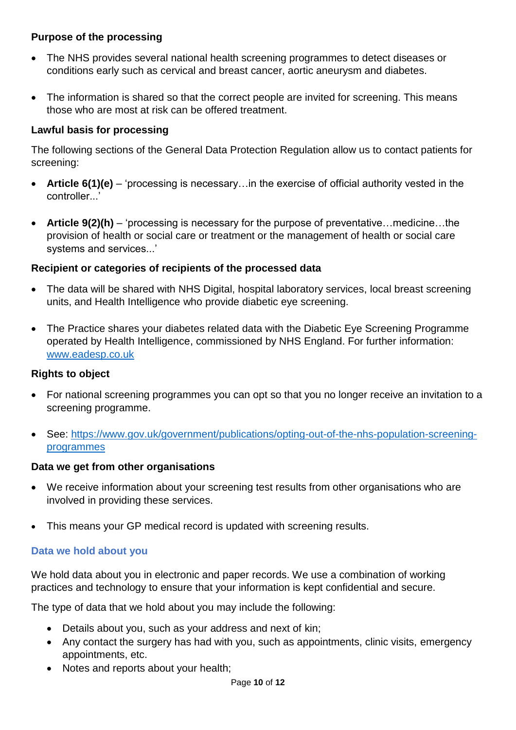## **Purpose of the processing**

- The NHS provides several national health screening programmes to detect diseases or conditions early such as cervical and breast cancer, aortic aneurysm and diabetes.
- The information is shared so that the correct people are invited for screening. This means those who are most at risk can be offered treatment.

## **Lawful basis for processing**

The following sections of the General Data Protection Regulation allow us to contact patients for screening:

- **Article 6(1)(e)** 'processing is necessary…in the exercise of official authority vested in the controller...'
- **Article 9(2)(h)** 'processing is necessary for the purpose of preventative…medicine…the provision of health or social care or treatment or the management of health or social care systems and services...'

## **Recipient or categories of recipients of the processed data**

- The data will be shared with NHS Digital, hospital laboratory services, local breast screening units, and Health Intelligence who provide diabetic eye screening.
- The Practice shares your diabetes related data with the Diabetic Eye Screening Programme operated by Health Intelligence, commissioned by NHS England. For further information: [www.eadesp.co.uk](http://www.eadesp.co.uk/)

## **Rights to object**

- For national screening programmes you can opt so that you no longer receive an invitation to a screening programme.
- See: [https://www.gov.uk/government/publications/opting-out-of-the-nhs-population-screening](https://www.gov.uk/government/publications/opting-out-of-the-nhs-population-screening-programmes)[programmes](https://www.gov.uk/government/publications/opting-out-of-the-nhs-population-screening-programmes)

## **Data we get from other organisations**

- We receive information about your screening test results from other organisations who are involved in providing these services.
- This means your GP medical record is updated with screening results.

# **Data we hold about you**

We hold data about you in electronic and paper records. We use a combination of working practices and technology to ensure that your information is kept confidential and secure.

The type of data that we hold about you may include the following:

- Details about you, such as your address and next of kin;
- Any contact the surgery has had with you, such as appointments, clinic visits, emergency appointments, etc.
- Notes and reports about your health;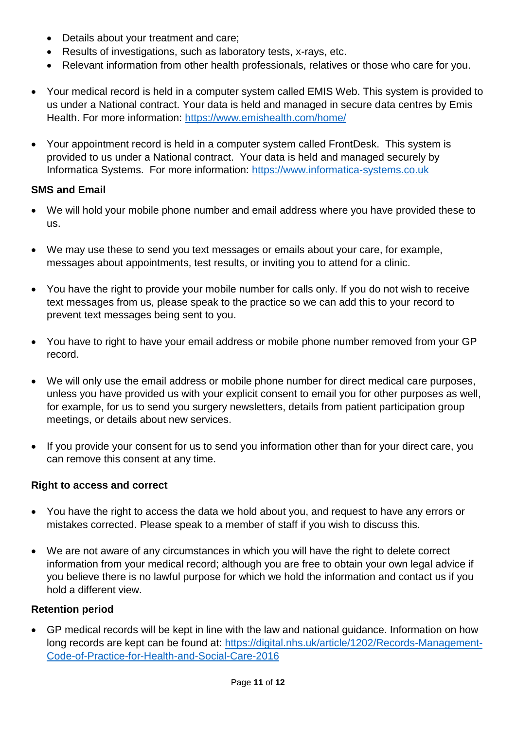- Details about your treatment and care;
- Results of investigations, such as laboratory tests, x-rays, etc.
- Relevant information from other health professionals, relatives or those who care for you.
- Your medical record is held in a computer system called EMIS Web. This system is provided to us under a National contract. Your data is held and managed in secure data centres by Emis Health. For more information:<https://www.emishealth.com/home/>
- Your appointment record is held in a computer system called FrontDesk. This system is provided to us under a National contract. Your data is held and managed securely by Informatica Systems. For more information: [https://www.informatica-systems.co.uk](https://www.informatica-systems.co.uk/)

### **SMS and Email**

- We will hold your mobile phone number and email address where you have provided these to us.
- We may use these to send you text messages or emails about your care, for example, messages about appointments, test results, or inviting you to attend for a clinic.
- You have the right to provide your mobile number for calls only. If you do not wish to receive text messages from us, please speak to the practice so we can add this to your record to prevent text messages being sent to you.
- You have to right to have your email address or mobile phone number removed from your GP record.
- We will only use the email address or mobile phone number for direct medical care purposes, unless you have provided us with your explicit consent to email you for other purposes as well, for example, for us to send you surgery newsletters, details from patient participation group meetings, or details about new services.
- If you provide your consent for us to send you information other than for your direct care, you can remove this consent at any time.

## **Right to access and correct**

- You have the right to access the data we hold about you, and request to have any errors or mistakes corrected. Please speak to a member of staff if you wish to discuss this.
- We are not aware of any circumstances in which you will have the right to delete correct information from your medical record; although you are free to obtain your own legal advice if you believe there is no lawful purpose for which we hold the information and contact us if you hold a different view.

#### **Retention period**

 GP medical records will be kept in line with the law and national guidance. Information on how long records are kept can be found at: [https://digital.nhs.uk/article/1202/Records-Management-](https://digital.nhs.uk/article/1202/Records-Management-Code-of-Practice-for-Health-and-Social-Care-2016)[Code-of-Practice-for-Health-and-Social-Care-2016](https://digital.nhs.uk/article/1202/Records-Management-Code-of-Practice-for-Health-and-Social-Care-2016)